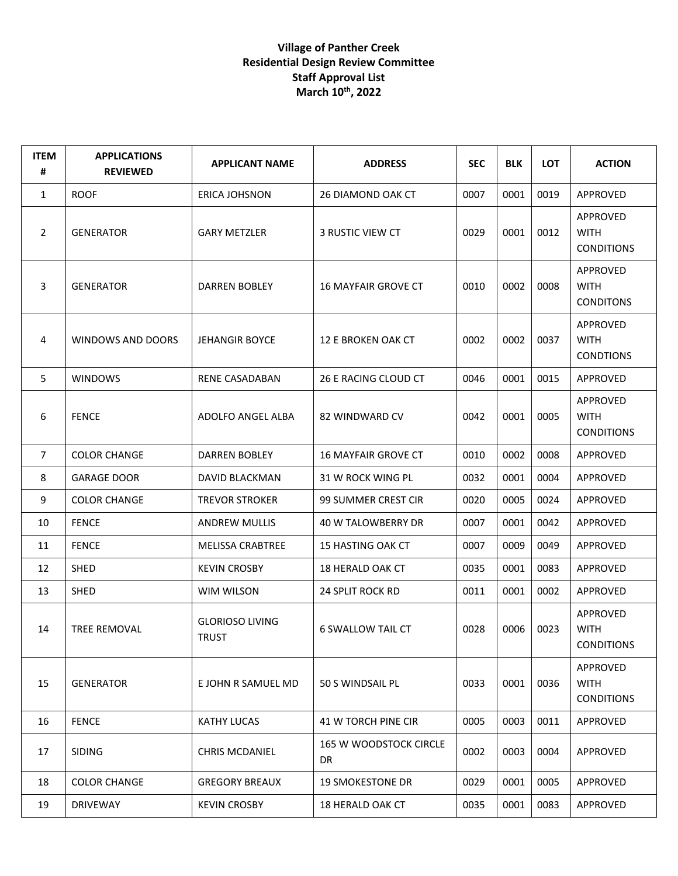## **Village of Panther Creek Residential Design Review Committee Staff Approval List March 10th, 2022**

| <b>ITEM</b><br># | <b>APPLICATIONS</b><br><b>REVIEWED</b> | <b>APPLICANT NAME</b>                  | <b>ADDRESS</b>               | <b>SEC</b> | <b>BLK</b> | <b>LOT</b> | <b>ACTION</b>                                |
|------------------|----------------------------------------|----------------------------------------|------------------------------|------------|------------|------------|----------------------------------------------|
| $\mathbf{1}$     | <b>ROOF</b>                            | <b>ERICA JOHSNON</b>                   | 26 DIAMOND OAK CT            | 0007       | 0001       | 0019       | APPROVED                                     |
| $\overline{2}$   | <b>GENERATOR</b>                       | <b>GARY METZLER</b>                    | 3 RUSTIC VIEW CT             | 0029       | 0001       | 0012       | APPROVED<br><b>WITH</b><br><b>CONDITIONS</b> |
| 3                | <b>GENERATOR</b>                       | <b>DARREN BOBLEY</b>                   | <b>16 MAYFAIR GROVE CT</b>   | 0010       | 0002       | 0008       | APPROVED<br><b>WITH</b><br><b>CONDITONS</b>  |
| 4                | WINDOWS AND DOORS                      | <b>JEHANGIR BOYCE</b>                  | 12 E BROKEN OAK CT           | 0002       | 0002       | 0037       | APPROVED<br><b>WITH</b><br><b>CONDTIONS</b>  |
| 5                | <b>WINDOWS</b>                         | RENE CASADABAN                         | 26 E RACING CLOUD CT         | 0046       | 0001       | 0015       | APPROVED                                     |
| 6                | <b>FENCE</b>                           | ADOLFO ANGEL ALBA                      | 82 WINDWARD CV               | 0042       | 0001       | 0005       | APPROVED<br><b>WITH</b><br><b>CONDITIONS</b> |
| 7                | <b>COLOR CHANGE</b>                    | <b>DARREN BOBLEY</b>                   | <b>16 MAYFAIR GROVE CT</b>   | 0010       | 0002       | 0008       | APPROVED                                     |
| 8                | <b>GARAGE DOOR</b>                     | DAVID BLACKMAN                         | 31 W ROCK WING PL            | 0032       | 0001       | 0004       | APPROVED                                     |
| 9                | <b>COLOR CHANGE</b>                    | <b>TREVOR STROKER</b>                  | <b>99 SUMMER CREST CIR</b>   | 0020       | 0005       | 0024       | APPROVED                                     |
| 10               | <b>FENCE</b>                           | <b>ANDREW MULLIS</b>                   | 40 W TALOWBERRY DR           | 0007       | 0001       | 0042       | APPROVED                                     |
| 11               | <b>FENCE</b>                           | <b>MELISSA CRABTREE</b>                | <b>15 HASTING OAK CT</b>     | 0007       | 0009       | 0049       | APPROVED                                     |
| 12               | SHED                                   | <b>KEVIN CROSBY</b>                    | <b>18 HERALD OAK CT</b>      | 0035       | 0001       | 0083       | APPROVED                                     |
| 13               | <b>SHED</b>                            | WIM WILSON                             | <b>24 SPLIT ROCK RD</b>      | 0011       | 0001       | 0002       | APPROVED                                     |
| 14               | <b>TREE REMOVAL</b>                    | <b>GLORIOSO LIVING</b><br><b>TRUST</b> | <b>6 SWALLOW TAIL CT</b>     | 0028       | 0006       | 0023       | APPROVED<br><b>WITH</b><br><b>CONDITIONS</b> |
| 15               | <b>GENERATOR</b>                       | E JOHN R SAMUEL MD                     | 50 S WINDSAIL PL             | 0033       | 0001       | 0036       | APPROVED<br><b>WITH</b><br><b>CONDITIONS</b> |
| 16               | <b>FENCE</b>                           | <b>KATHY LUCAS</b>                     | 41 W TORCH PINE CIR          | 0005       | 0003       | 0011       | APPROVED                                     |
| 17               | <b>SIDING</b>                          | <b>CHRIS MCDANIEL</b>                  | 165 W WOODSTOCK CIRCLE<br>DR | 0002       | 0003       | 0004       | APPROVED                                     |
| 18               | <b>COLOR CHANGE</b>                    | <b>GREGORY BREAUX</b>                  | <b>19 SMOKESTONE DR</b>      | 0029       | 0001       | 0005       | APPROVED                                     |
| 19               | <b>DRIVEWAY</b>                        | <b>KEVIN CROSBY</b>                    | <b>18 HERALD OAK CT</b>      | 0035       | 0001       | 0083       | APPROVED                                     |